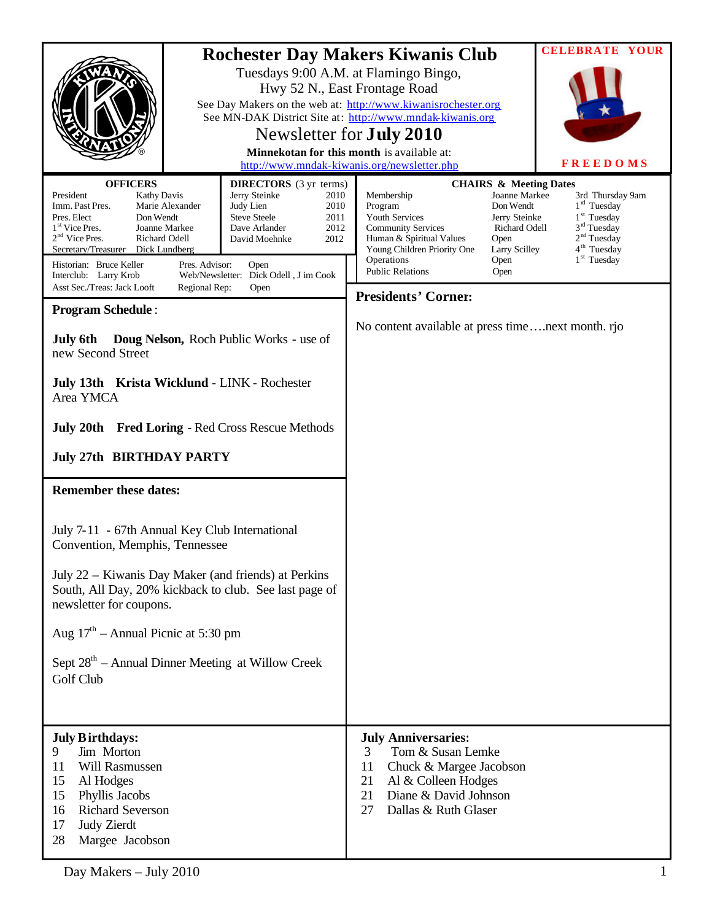|                                                                                                                                                                                                                                                                                                                     |  | <b>Rochester Day Makers Kiwanis Club</b>                                                                                                                                                                      |                                                                                                                                                                                                                                                                                       |                                                                                                                                            | <b>CELEBRATE YOUR</b>                                                                                                                                |
|---------------------------------------------------------------------------------------------------------------------------------------------------------------------------------------------------------------------------------------------------------------------------------------------------------------------|--|---------------------------------------------------------------------------------------------------------------------------------------------------------------------------------------------------------------|---------------------------------------------------------------------------------------------------------------------------------------------------------------------------------------------------------------------------------------------------------------------------------------|--------------------------------------------------------------------------------------------------------------------------------------------|------------------------------------------------------------------------------------------------------------------------------------------------------|
|                                                                                                                                                                                                                                                                                                                     |  |                                                                                                                                                                                                               | Tuesdays 9:00 A.M. at Flamingo Bingo,<br>Hwy 52 N., East Frontage Road<br>See Day Makers on the web at: http://www.kiwanisrochester.org<br>See MN-DAK District Site at: http://www.mndak-kiwanis.org<br>Newsletter for <b>July 2010</b><br>Minnekotan for this month is available at: |                                                                                                                                            | <b>FREEDOMS</b>                                                                                                                                      |
|                                                                                                                                                                                                                                                                                                                     |  | http://www.mndak-kiwanis.org/newsletter.php                                                                                                                                                                   |                                                                                                                                                                                                                                                                                       |                                                                                                                                            |                                                                                                                                                      |
| <b>OFFICERS</b><br>President<br><b>Kathy Davis</b><br>Imm. Past Pres.<br>Marie Alexander<br>Pres. Elect<br>Don Wendt<br>1 <sup>st</sup> Vice Pres.<br>Joanne Markee<br>$2nd$ Vice Pres.<br>Richard Odell<br>Secretary/Treasurer Dick Lundberg<br>Historian: Bruce Keller<br>Pres. Advisor:<br>Interclub: Larry Krob |  | <b>DIRECTORS</b> (3 yr terms)<br>Jerry Steinke<br>2010<br>2010<br>Judy Lien<br><b>Steve Steele</b><br>2011<br>2012<br>Dave Arlander<br>David Moehnke<br>2012<br>Open<br>Web/Newsletter: Dick Odell, J im Cook | Membership<br>Program<br>Youth Services<br><b>Community Services</b><br>Human & Spiritual Values<br>Young Children Priority One<br>Operations<br><b>Public Relations</b>                                                                                                              | <b>CHAIRS &amp; Meeting Dates</b><br>Joanne Markee<br>Don Wendt<br>Jerry Steinke<br>Richard Odell<br>Open<br>Larry Scilley<br>Open<br>Open | 3rd Thursday 9am<br>$1rd$ Tuesday<br>1 <sup>st</sup> Tuesday<br>$3rd$ Tuesday<br>2 <sup>nd</sup> Tuesday<br>4 <sup>th</sup> Tuesday<br>$1st$ Tuesday |
| Asst Sec./Treas: Jack Looft<br>Regional Rep:<br>Open                                                                                                                                                                                                                                                                |  |                                                                                                                                                                                                               | <b>Presidents' Corner:</b>                                                                                                                                                                                                                                                            |                                                                                                                                            |                                                                                                                                                      |
| <b>Program Schedule:</b><br><b>Doug Nelson, Roch Public Works - use of</b><br>July 6th<br>new Second Street<br>July 13th Krista Wicklund - LINK - Rochester<br>Area YMCA<br><b>July 20th</b> Fred Loring - Red Cross Rescue Methods                                                                                 |  |                                                                                                                                                                                                               | No content available at press timenext month. rjo                                                                                                                                                                                                                                     |                                                                                                                                            |                                                                                                                                                      |
| <b>July 27th BIRTHDAY PARTY</b>                                                                                                                                                                                                                                                                                     |  |                                                                                                                                                                                                               |                                                                                                                                                                                                                                                                                       |                                                                                                                                            |                                                                                                                                                      |
| <b>Remember these dates:</b>                                                                                                                                                                                                                                                                                        |  |                                                                                                                                                                                                               |                                                                                                                                                                                                                                                                                       |                                                                                                                                            |                                                                                                                                                      |
| July 7-11 - 67th Annual Key Club International<br>Convention, Memphis, Tennessee                                                                                                                                                                                                                                    |  |                                                                                                                                                                                                               |                                                                                                                                                                                                                                                                                       |                                                                                                                                            |                                                                                                                                                      |
| July 22 – Kiwanis Day Maker (and friends) at Perkins<br>South, All Day, 20% kickback to club. See last page of<br>newsletter for coupons.                                                                                                                                                                           |  |                                                                                                                                                                                                               |                                                                                                                                                                                                                                                                                       |                                                                                                                                            |                                                                                                                                                      |
| Aug $17th$ – Annual Picnic at 5:30 pm                                                                                                                                                                                                                                                                               |  |                                                                                                                                                                                                               |                                                                                                                                                                                                                                                                                       |                                                                                                                                            |                                                                                                                                                      |
| Sept 28 <sup>th</sup> – Annual Dinner Meeting at Willow Creek<br>Golf Club                                                                                                                                                                                                                                          |  |                                                                                                                                                                                                               |                                                                                                                                                                                                                                                                                       |                                                                                                                                            |                                                                                                                                                      |
| <b>July Birthdays:</b><br>Jim Morton<br>9<br><b>Will Rasmussen</b><br>11<br>15<br>Al Hodges<br>15<br>Phyllis Jacobs<br><b>Richard Severson</b><br>16<br>17<br><b>Judy Zierdt</b><br>28<br>Margee Jacobson                                                                                                           |  |                                                                                                                                                                                                               | <b>July Anniversaries:</b><br>Tom & Susan Lemke<br>3<br>11<br>Chuck & Margee Jacobson<br>21<br>Al & Colleen Hodges<br>Diane & David Johnson<br>21<br>Dallas & Ruth Glaser<br>27                                                                                                       |                                                                                                                                            |                                                                                                                                                      |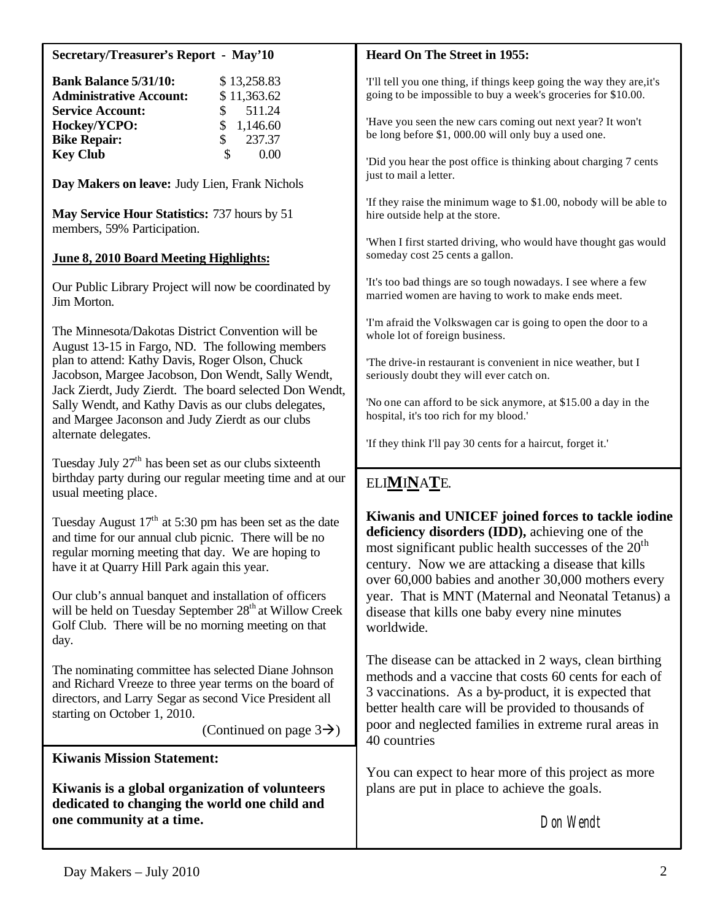| <b>Secretary/Treasurer's Report - May'10</b>                                                                                                                                                                                                    | <b>Heard On The Street in 1955:</b>                                                                                                                                                                                                                                                    |  |  |
|-------------------------------------------------------------------------------------------------------------------------------------------------------------------------------------------------------------------------------------------------|----------------------------------------------------------------------------------------------------------------------------------------------------------------------------------------------------------------------------------------------------------------------------------------|--|--|
| <b>Bank Balance 5/31/10:</b><br>\$13,258.83<br><b>Administrative Account:</b><br>\$11,363.62<br><b>Service Account:</b><br>511.24                                                                                                               | T'll tell you one thing, if things keep going the way they are, it's<br>going to be impossible to buy a week's groceries for \$10.00.                                                                                                                                                  |  |  |
| Hockey/YCPO:<br>\$<br>1,146.60<br>\$<br>237.37<br><b>Bike Repair:</b>                                                                                                                                                                           | 'Have you seen the new cars coming out next year? It won't<br>be long before \$1, 000.00 will only buy a used one.                                                                                                                                                                     |  |  |
| $\mathcal{S}$<br><b>Key Club</b><br>0.00<br>Day Makers on leave: Judy Lien, Frank Nichols                                                                                                                                                       | 'Did you hear the post office is thinking about charging 7 cents<br>just to mail a letter.                                                                                                                                                                                             |  |  |
| May Service Hour Statistics: 737 hours by 51<br>members, 59% Participation.                                                                                                                                                                     | 'If they raise the minimum wage to \$1.00, nobody will be able to<br>hire outside help at the store.                                                                                                                                                                                   |  |  |
| June 8, 2010 Board Meeting Highlights:                                                                                                                                                                                                          | 'When I first started driving, who would have thought gas would<br>someday cost 25 cents a gallon.                                                                                                                                                                                     |  |  |
| Our Public Library Project will now be coordinated by<br>Jim Morton.                                                                                                                                                                            | 'It's too bad things are so tough nowadays. I see where a few<br>married women are having to work to make ends meet.                                                                                                                                                                   |  |  |
| The Minnesota/Dakotas District Convention will be<br>August 13-15 in Fargo, ND. The following members                                                                                                                                           | 'I'm afraid the Volkswagen car is going to open the door to a<br>whole lot of foreign business.                                                                                                                                                                                        |  |  |
| plan to attend: Kathy Davis, Roger Olson, Chuck<br>Jacobson, Margee Jacobson, Don Wendt, Sally Wendt,<br>Jack Zierdt, Judy Zierdt. The board selected Don Wendt,                                                                                | The drive-in restaurant is convenient in nice weather, but I<br>seriously doubt they will ever catch on.                                                                                                                                                                               |  |  |
| Sally Wendt, and Kathy Davis as our clubs delegates,<br>and Margee Jaconson and Judy Zierdt as our clubs                                                                                                                                        | 'No one can afford to be sick anymore, at \$15.00 a day in the<br>hospital, it's too rich for my blood.'                                                                                                                                                                               |  |  |
| alternate delegates.                                                                                                                                                                                                                            | 'If they think I'll pay 30 cents for a haircut, forget it.'                                                                                                                                                                                                                            |  |  |
| Tuesday July 27 <sup>th</sup> has been set as our clubs sixteenth<br>birthday party during our regular meeting time and at our<br>usual meeting place.                                                                                          | ELIMINATE.                                                                                                                                                                                                                                                                             |  |  |
| Tuesday August $17th$ at 5:30 pm has been set as the date<br>and time for our annual club picnic. There will be no<br>regular morning meeting that day. We are hoping to<br>have it at Quarry Hill Park again this year.                        | Kiwanis and UNICEF joined forces to tackle iodine<br>deficiency disorders (IDD), achieving one of the<br>most significant public health successes of the 20 <sup>th</sup><br>century. Now we are attacking a disease that kills<br>over 60,000 babies and another 30,000 mothers every |  |  |
| Our club's annual banquet and installation of officers<br>will be held on Tuesday September 28 <sup>th</sup> at Willow Creek<br>Golf Club. There will be no morning meeting on that<br>day.                                                     | year. That is MNT (Maternal and Neonatal Tetanus) a<br>disease that kills one baby every nine minutes<br>worldwide.                                                                                                                                                                    |  |  |
| The nominating committee has selected Diane Johnson<br>and Richard Vreeze to three year terms on the board of<br>directors, and Larry Segar as second Vice President all<br>starting on October 1, 2010.<br>(Continued on page $3\rightarrow$ ) | The disease can be attacked in 2 ways, clean birthing<br>methods and a vaccine that costs 60 cents for each of<br>3 vaccinations. As a by-product, it is expected that<br>better health care will be provided to thousands of<br>poor and neglected families in extreme rural areas in |  |  |
| <b>Kiwanis Mission Statement:</b>                                                                                                                                                                                                               | 40 countries                                                                                                                                                                                                                                                                           |  |  |
| Kiwanis is a global organization of volunteers                                                                                                                                                                                                  | You can expect to hear more of this project as more<br>plans are put in place to achieve the goals.                                                                                                                                                                                    |  |  |
| dedicated to changing the world one child and<br>one community at a time.                                                                                                                                                                       | Don Wendt                                                                                                                                                                                                                                                                              |  |  |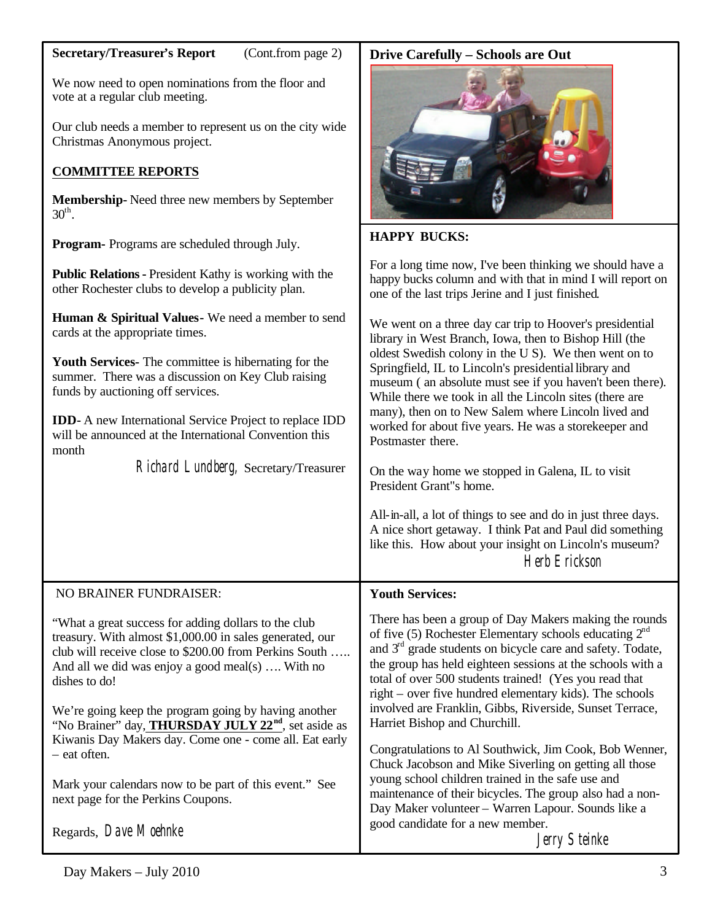#### **Secretary/Treasurer's Report** (Cont.from page 2)

We now need to open nominations from the floor and vote at a regular club meeting.

Our club needs a member to represent us on the city wide Christmas Anonymous project.

## **COMMITTEE REPORTS**

**Membership-** Need three new members by September  $30^{\text{th}}$ .

**Program-** Programs are scheduled through July.

**Public Relations-** President Kathy is working with the other Rochester clubs to develop a publicity plan.

**Human & Spiritual Values-** We need a member to send cards at the appropriate times.

**Youth Services-** The committee is hibernating for the summer. There was a discussion on Key Club raising funds by auctioning off services.

**IDD-** A new International Service Project to replace IDD will be announced at the International Convention this month

Richard Lundberg, Secretary/Treasurer

# **Drive Carefully – Schools are Out**



## **HAPPY BUCKS:**

For a long time now, I've been thinking we should have a happy bucks column and with that in mind I will report on one of the last trips Jerine and I just finished.

We went on a three day car trip to Hoover's presidential library in West Branch, Iowa, then to Bishop Hill (the oldest Swedish colony in the U S). We then went on to Springfield, IL to Lincoln's presidential library and museum ( an absolute must see if you haven't been there). While there we took in all the Lincoln sites (there are many), then on to New Salem where Lincoln lived and worked for about five years. He was a storekeeper and Postmaster there.

On the way home we stopped in Galena, IL to visit President Grant"s home.

All-in-all, a lot of things to see and do in just three days. A nice short getaway. I think Pat and Paul did something like this. How about your insight on Lincoln's museum? Herb Erickson

#### NO BRAINER FUNDRAISER: "What a great success for adding dollars to the club treasury. With almost \$1,000.00 in sales generated, our club will receive close to \$200.00 from Perkins South ….. And all we did was enjoy a good meal(s) …. With no dishes to do! We're going keep the program going by having another "No Brainer" day, **THURSDAY JULY 22nd**, set aside as Kiwanis Day Makers day. Come one - come all. Eat early – eat often. Mark your calendars now to be part of this event." See next page for the Perkins Coupons. Regards, *Dave Moehnke*  **Youth Services:** There has been a group of Day Makers making the rounds of five (5) Rochester Elementary schools educating  $2<sup>nd</sup>$ and  $3<sup>rd</sup>$  grade students on bicycle care and safety. Todate, the group has held eighteen sessions at the schools with a total of over 500 students trained! (Yes you read that right – over five hundred elementary kids). The schools involved are Franklin, Gibbs, Riverside, Sunset Terrace, Harriet Bishop and Churchill. Congratulations to Al Southwick, Jim Cook, Bob Wenner, Chuck Jacobson and Mike Siverling on getting all those young school children trained in the safe use and maintenance of their bicycles. The group also had a non-Day Maker volunteer – Warren Lapour. Sounds like a good candidate for a new member. Jerry Steinke